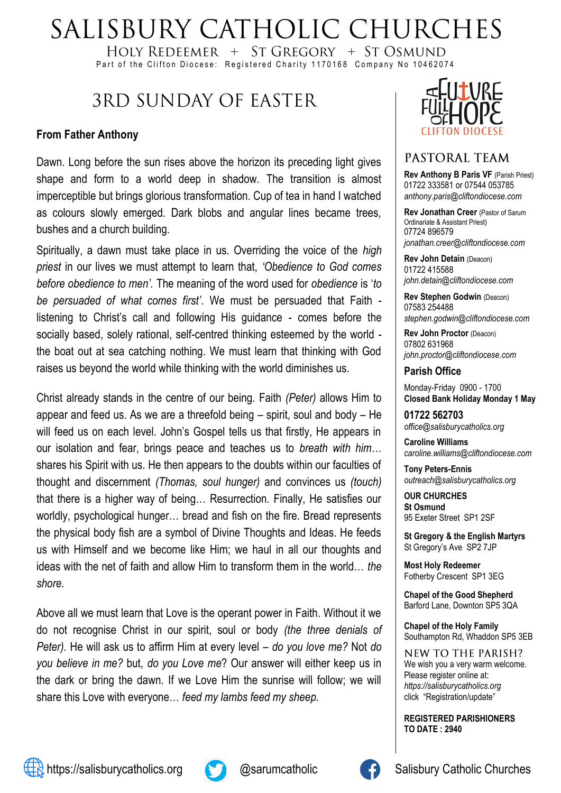# SALISBURY CATHOLIC CHURCHES

HOLY REDEEMER + ST GREGORY + ST OSMUND Part of the Clifton Diocese: Registered Charity 1170168 Company No 10462074

# **3RD SUNDAY OF EASTER**

#### **From Father Anthony**

Dawn. Long before the sun rises above the horizon its preceding light gives shape and form to a world deep in shadow. The transition is almost imperceptible but brings glorious transformation. Cup of tea in hand I watched as colours slowly emerged. Dark blobs and angular lines became trees, bushes and a church building.

Spiritually, a dawn must take place in us. Overriding the voice of the *high priest* in our lives we must attempt to learn that, *'Obedience to God comes before obedience to men'.* The meaning of the word used for *obedience* is '*to be persuaded of what comes first'*. We must be persuaded that Faith listening to Christ's call and following His guidance - comes before the socially based, solely rational, self-centred thinking esteemed by the world the boat out at sea catching nothing. We must learn that thinking with God raises us beyond the world while thinking with the world diminishes us.

Christ already stands in the centre of our being. Faith *(Peter)* allows Him to appear and feed us. As we are a threefold being – spirit, soul and body – He will feed us on each level. John's Gospel tells us that firstly, He appears in our isolation and fear, brings peace and teaches us to *breath with him*… shares his Spirit with us. He then appears to the doubts within our faculties of thought and discernment *(Thomas, soul hunger)* and convinces us *(touch)* that there is a higher way of being… Resurrection. Finally, He satisfies our worldly, psychological hunger… bread and fish on the fire. Bread represents the physical body fish are a symbol of Divine Thoughts and Ideas. He feeds us with Himself and we become like Him; we haul in all our thoughts and ideas with the net of faith and allow Him to transform them in the world… *the shore.*

Above all we must learn that Love is the operant power in Faith. Without it we do not recognise Christ in our spirit, soul or body *(the three denials of Peter).* He will ask us to affirm Him at every level – *do you love me?* Not *do you believe in me?* but, *do you Love me*? Our answer will either keep us in the dark or bring the dawn. If we Love Him the sunrise will follow; we will share this Love with everyone… *feed my lambs feed my sheep.*



#### PASTORAL TEAM

**Rev Anthony B Paris VF (Parish Priest)** 01722 333581 or 07544 053785 *anthony.paris@cliftondiocese.com*

**Rev Jonathan Creer** (Pastor of Sarum Ordinariate & Assistant Priest) 07724 896579 *jonathan.creer@cliftondiocese.com*

**Rev John Detain** (Deacon) 01722 415588 *john.detain@cliftondiocese.com*

**Rev Stephen Godwin** (Deacon) 07583 254488 *stephen.godwin@cliftondiocese.com*

**Rev John Proctor** (Deacon) 07802 631968 *john.proctor@cliftondiocese.com*

#### **Parish Office**

Monday-Friday 0900 - 1700 **Closed Bank Holiday Monday 1 May** 

**01722 562703** *office@salisburycatholics.org*

**Caroline Williams** *caroline.williams@cliftondiocese.com*

**Tony Peters-Ennis** *outreach@salisburycatholics.org*

**OUR CHURCHES St Osmund** 95 Exeter Street SP1 2SF

**St Gregory & the English Martyrs** St Gregory's Ave SP2 7JP

**Most Holy Redeemer**  Fotherby Crescent SP1 3EG

**Chapel of the Good Shepherd** Barford Lane, Downton SP5 3QA

**Chapel of the Holy Family** Southampton Rd, Whaddon SP5 3EB

NEW TO THE PARISH? We wish you a very warm welcome. Please register online at: *[https://salisburycatholics.org](https://p1.pamis.co.uk/salisbury/onlined01cab)*  [click "Registration/update"](https://p1.pamis.co.uk/salisbury/onlined01cab) 

**REGISTERED PARISHIONERS TO DATE : 2940**



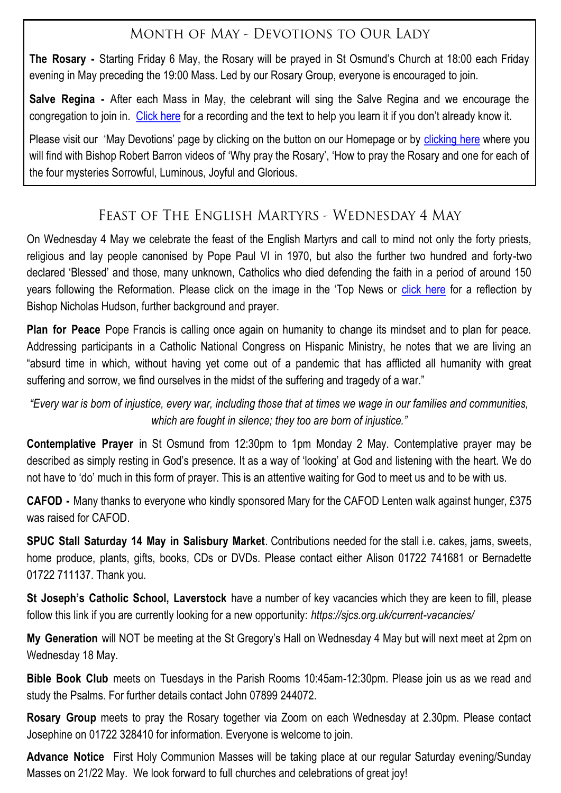# MONTH OF MAY - DEVOTIONS TO OUR LADY

**The Rosary -** Starting Friday 6 May, the Rosary will be prayed in St Osmund's Church at 18:00 each Friday evening in May preceding the 19:00 Mass. Led by our Rosary Group, everyone is encouraged to join.

**Salve Regina -** After each Mass in May, the celebrant will sing the Salve Regina and we encourage the congregation to join in. [Click here](https://salisburycatholics.org/may-devotions) for a recording and the text to help you learn it if you don't already know it.

Please visit our 'May Devotions' page by clicking on the button on our Homepage or by [clicking here](https://salisburycatholics.org/may-devotions) where you will find with Bishop Robert Barron videos of 'Why pray the Rosary', 'How to pray the Rosary and one for each of the four mysteries Sorrowful, Luminous, Joyful and Glorious.

# FEAST OF THE ENGLISH MARTYRS - WEDNESDAY 4 MAY

On Wednesday 4 May we celebrate the feast of the English Martyrs and call to mind not only the forty priests, religious and lay people canonised by Pope Paul VI in 1970, but also the further two hundred and forty-two declared 'Blessed' and those, many unknown, Catholics who died defending the faith in a period of around 150 years following the Reformation. Please click on the image in the 'Top News or [click here](https://salisburycatholics.org/english-martyrs) for a reflection by Bishop Nicholas Hudson, further background and prayer.

**Plan for Peace** Pope Francis is calling once again on humanity to change its mindset and to plan for peace. Addressing participants in a Catholic National Congress on Hispanic Ministry, he notes that we are living an "absurd time in which, without having yet come out of a pandemic that has afflicted all humanity with great suffering and sorrow, we find ourselves in the midst of the suffering and tragedy of a war."

*"Every war is born of injustice, every war, including those that at times we wage in our families and communities, which are fought in silence; they too are born of injustice."*

**Contemplative Prayer** in St Osmund from 12:30pm to 1pm Monday 2 May. Contemplative prayer may be described as simply resting in God's presence. It as a way of 'looking' at God and listening with the heart. We do not have to 'do' much in this form of prayer. This is an attentive waiting for God to meet us and to be with us.

**CAFOD -** Many thanks to everyone who kindly sponsored Mary for the CAFOD Lenten walk against hunger, £375 was raised for CAFOD.

**SPUC Stall Saturday 14 May in Salisbury Market**. Contributions needed for the stall i.e. cakes, jams, sweets, home produce, plants, gifts, books, CDs or DVDs. Please contact either Alison 01722 741681 or Bernadette 01722 711137. Thank you.

**St Joseph's Catholic School, Laverstock** have a number of key vacancies which they are keen to fill, please follow this link if you are currently looking for a new opportunity: *https://sjcs.org.uk/current-vacancies/*

**My Generation** will NOT be meeting at the St Gregory's Hall on Wednesday 4 May but will next meet at 2pm on Wednesday 18 May.

**Bible Book Club** meets on Tuesdays in the Parish Rooms 10:45am-12:30pm. Please join us as we read and study the Psalms. For further details contact John 07899 244072.

**Rosary Group** meets to pray the Rosary together via Zoom on each Wednesday at 2.30pm. Please contact Josephine on 01722 328410 for information. Everyone is welcome to join.

**Advance Notice** First Holy Communion Masses will be taking place at our regular Saturday evening/Sunday Masses on 21/22 May. We look forward to full churches and celebrations of great joy!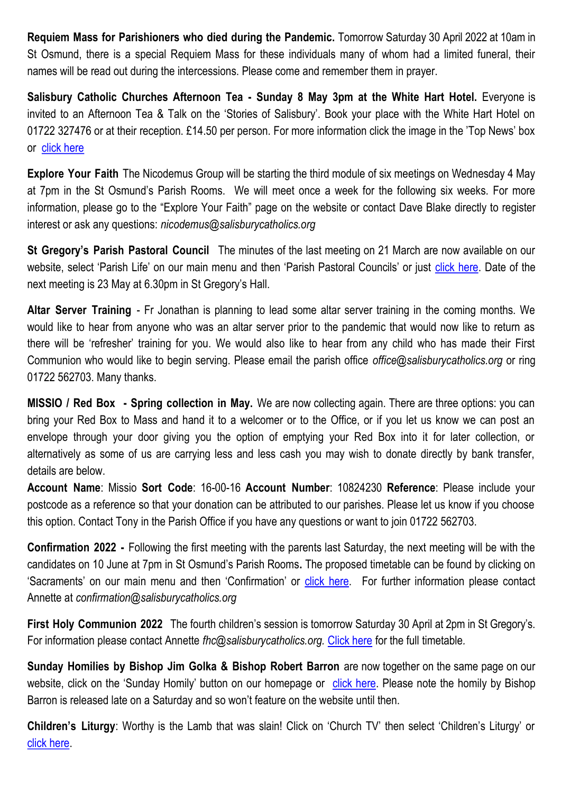**Requiem Mass for Parishioners who died during the Pandemic.** Tomorrow Saturday 30 April 2022 at 10am in St Osmund, there is a special Requiem Mass for these individuals many of whom had a limited funeral, their names will be read out during the intercessions. Please come and remember them in prayer.

**Salisbury Catholic Churches Afternoon Tea - Sunday 8 May 3pm at the White Hart Hotel.** Everyone is invited to an Afternoon Tea & Talk on the 'Stories of Salisbury'. Book your place with the White Hart Hotel on 01722 327476 or at their reception. £14.50 per person. For more information click the image in the 'Top News' box or [click here](https://salisburycatholics.org/blog/salisbury-catholic-churches-afternoon-tea)

**Explore Your Faith** The Nicodemus Group will be starting the third module of six meetings on Wednesday 4 May at 7pm in the St Osmund's Parish Rooms. We will meet once a week for the following six weeks. For more information, please go to the "Explore Your Faith" page on the website or contact Dave Blake directly to register interest or ask any questions: *nicodemus@salisburycatholics.org*

**St Gregory's Parish Pastoral Council** The minutes of the last meeting on 21 March are now available on our website, select 'Parish Life' on our main menu and then 'Parish Pastoral Councils' or just [click here.](https://salisburycatholics.org/ppc-st-g) Date of the next meeting is 23 May at 6.30pm in St Gregory's Hall.

**Altar Server Training** - Fr Jonathan is planning to lead some altar server training in the coming months. We would like to hear from anyone who was an altar server prior to the pandemic that would now like to return as there will be 'refresher' training for you. We would also like to hear from any child who has made their First Communion who would like to begin serving. Please email the parish office *office@salisburycatholics.org* or ring 01722 562703. Many thanks.

**MISSIO / Red Box - Spring collection in May.** We are now collecting again. There are three options: you can bring your Red Box to Mass and hand it to a welcomer or to the Office, or if you let us know we can post an envelope through your door giving you the option of emptying your Red Box into it for later collection, or alternatively as some of us are carrying less and less cash you may wish to donate directly by bank transfer, details are below.

**Account Name**: Missio **Sort Code**: 16-00-16 **Account Number**: 10824230 **Reference**: Please include your postcode as a reference so that your donation can be attributed to our parishes. Please let us know if you choose this option. Contact Tony in the Parish Office if you have any questions or want to join 01722 562703.

**Confirmation 2022 -** Following the first meeting with the parents last Saturday, the next meeting will be with the candidates on 10 June at 7pm in St Osmund's Parish Rooms**.** The proposed timetable can be found by clicking on 'Sacraments' on our main menu and then 'Confirmation' or [click here.](https://salisburycatholics.org/confirmation) For further information please contact Annette at *confirmation@salisburycatholics.org*

**First Holy Communion 2022** The fourth children's session is tomorrow Saturday 30 April at 2pm in St Gregory's. For information please contact Annette *fhc@salisburycatholics.org.* [Click here](https://salisburycatholics.org/holy-communion) for the full timetable*.*

**Sunday Homilies by Bishop Jim Golka & Bishop Robert Barron** are now together on the same page on our website, click on the 'Sunday Homily' button on our homepage or [click here.](https://salisburycatholics.org/sunday-homily) Please note the homily by Bishop Barron is released late on a Saturday and so won't feature on the website until then.

**Children's Liturgy**: Worthy is the Lamb that was slain! Click on 'Church TV' then select 'Children's Liturgy' or [click here.](https://salisburycatholics.org/childrens-liturgy)